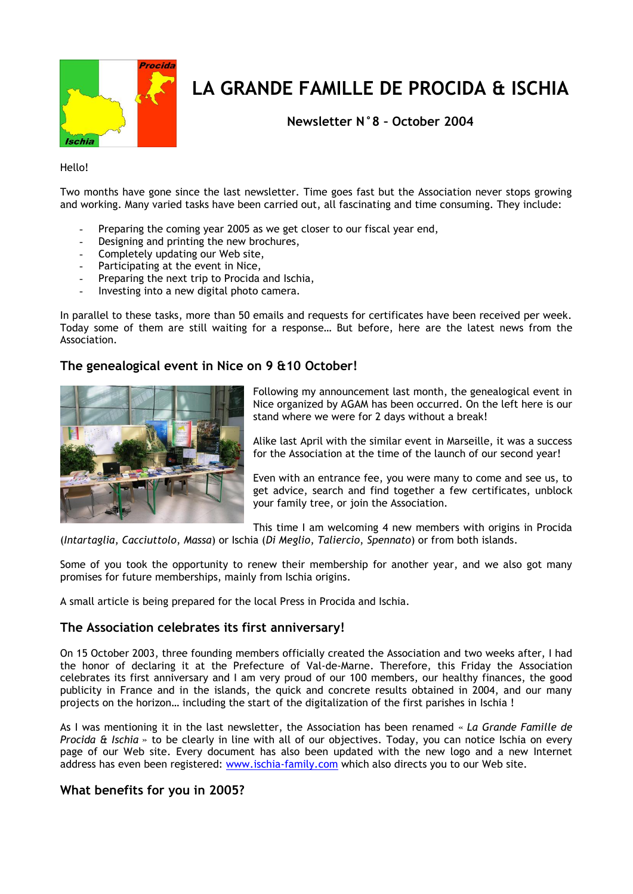

# **LA GRANDE FAMILLE DE PROCIDA & ISCHIA**

**Newsletter N°8 – October 2004**

Hello!

Two months have gone since the last newsletter. Time goes fast but the Association never stops growing and working. Many varied tasks have been carried out, all fascinating and time consuming. They include:

- Preparing the coming year 2005 as we get closer to our fiscal year end,
- Designing and printing the new brochures,
- Completely updating our Web site,
- Participating at the event in Nice,
- Preparing the next trip to Procida and Ischia,
- Investing into a new digital photo camera.

In parallel to these tasks, more than 50 emails and requests for certificates have been received per week. Today some of them are still waiting for a response… But before, here are the latest news from the Association.

## **The genealogical event in Nice on 9 &10 October!**



Following my announcement last month, the genealogical event in Nice organized by AGAM has been occurred. On the left here is our stand where we were for 2 days without a break!

Alike last April with the similar event in Marseille, it was a success for the Association at the time of the launch of our second year!

Even with an entrance fee, you were many to come and see us, to get advice, search and find together a few certificates, unblock your family tree, or join the Association.

This time I am welcoming 4 new members with origins in Procida (*Intartaglia*, *Cacciuttolo*, *Massa*) or Ischia (*Di Meglio*, *Taliercio*, *Spennato*) or from both islands.

Some of you took the opportunity to renew their membership for another year, and we also got many promises for future memberships, mainly from Ischia origins.

A small article is being prepared for the local Press in Procida and Ischia.

## **The Association celebrates its first anniversary!**

On 15 October 2003, three founding members officially created the Association and two weeks after, I had the honor of declaring it at the Prefecture of Val-de-Marne. Therefore, this Friday the Association celebrates its first anniversary and I am very proud of our 100 members, our healthy finances, the good publicity in France and in the islands, the quick and concrete results obtained in 2004, and our many projects on the horizon… including the start of the digitalization of the first parishes in Ischia !

As I was mentioning it in the last newsletter, the Association has been renamed « *La Grande Famille de Procida & Ischia* » to be clearly in line with all of our objectives. Today, you can notice Ischia on every page of our Web site. Every document has also been updated with the new logo and a new Internet address has even been registered: [www.ischia-family.com](http://www.ischia-family.com/) which also directs you to our Web site.

## **What benefits for you in 2005?**